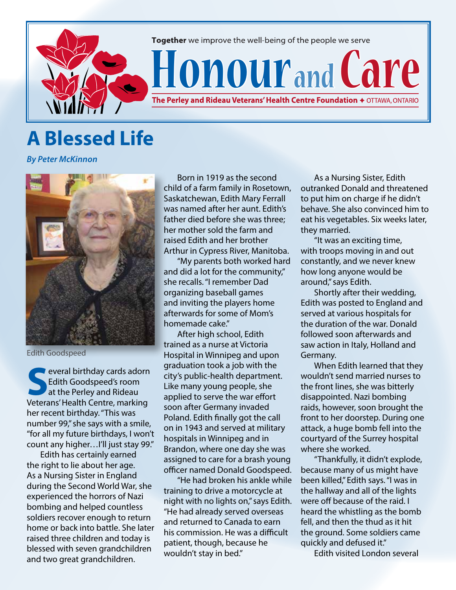

## **A Blessed Life**

*By Peter McKinnon*



Edith Goodspeed

**SECONDED SPECIES AND SECONDED SPECIES AND ALL SECONDED SPECIES AND SPECIES AND SPECIES AND SPECIES AND SPECIES AND SPECIES AND SPECIES AND SPECIES AND SPECIES AND SPECIES AND SPECIES AND SPECIES AND SPECIES AND SPECIES AN** Edith Goodspeed's room at the Perley and Rideau Veterans' Health Centre, marking her recent birthday. "This was number 99," she says with a smile, "for all my future birthdays, I won't count any higher…I'll just stay 99."

Edith has certainly earned the right to lie about her age. As a Nursing Sister in England during the Second World War, she experienced the horrors of Nazi bombing and helped countless soldiers recover enough to return home or back into battle. She later raised three children and today is blessed with seven grandchildren and two great grandchildren.

Born in 1919 as the second child of a farm family in Rosetown, Saskatchewan, Edith Mary Ferrall was named after her aunt. Edith's father died before she was three; her mother sold the farm and raised Edith and her brother Arthur in Cypress River, Manitoba.

"My parents both worked hard and did a lot for the community," she recalls. "I remember Dad organizing baseball games and inviting the players home afterwards for some of Mom's homemade cake."

After high school, Edith trained as a nurse at Victoria Hospital in Winnipeg and upon graduation took a job with the city's public-health department. Like many young people, she applied to serve the war effort soon after Germany invaded Poland. Edith finally got the call on in 1943 and served at military hospitals in Winnipeg and in Brandon, where one day she was assigned to care for a brash young officer named Donald Goodspeed.

"He had broken his ankle while training to drive a motorcycle at night with no lights on," says Edith. "He had already served overseas and returned to Canada to earn his commission. He was a difficult patient, though, because he wouldn't stay in bed."

As a Nursing Sister, Edith outranked Donald and threatened to put him on charge if he didn't behave. She also convinced him to eat his vegetables. Six weeks later, they married.

"It was an exciting time, with troops moving in and out constantly, and we never knew how long anyone would be around," says Edith.

Shortly after their wedding, Edith was posted to England and served at various hospitals for the duration of the war. Donald followed soon afterwards and saw action in Italy, Holland and Germany.

When Edith learned that they wouldn't send married nurses to the front lines, she was bitterly disappointed. Nazi bombing raids, however, soon brought the front to her doorstep. During one attack, a huge bomb fell into the courtyard of the Surrey hospital where she worked.

"Thankfully, it didn't explode, because many of us might have been killed," Edith says. "I was in the hallway and all of the lights were off because of the raid. I heard the whistling as the bomb fell, and then the thud as it hit the ground. Some soldiers came quickly and defused it."

Edith visited London several